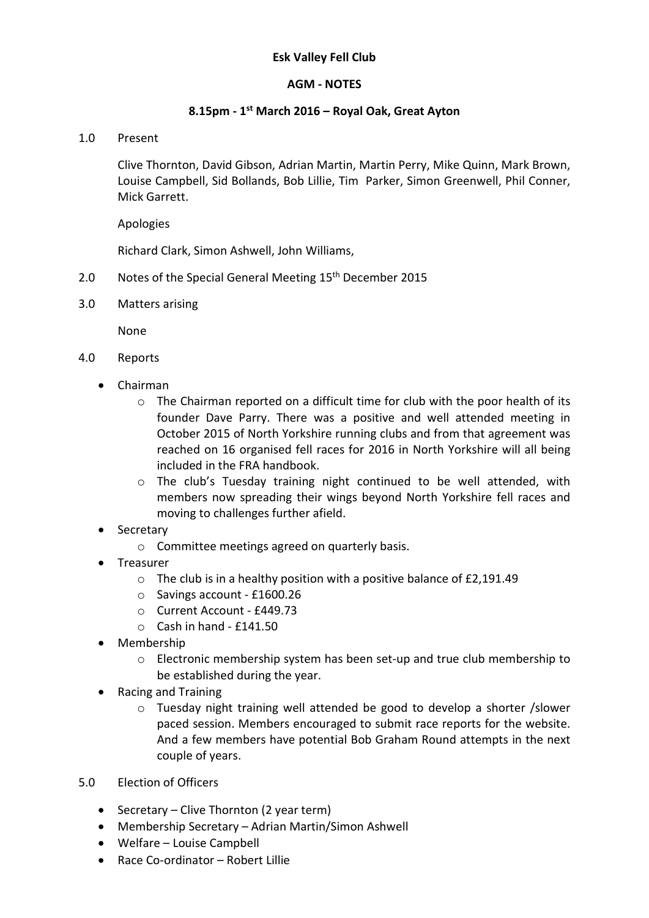## Esk Valley Fell Club

# AGM - NOTES

# 8.15pm - 1<sup>st</sup> March 2016 – Royal Oak, Great Ayton

## 1.0 Present

Clive Thornton, David Gibson, Adrian Martin, Martin Perry, Mike Quinn, Mark Brown, Louise Campbell, Sid Bollands, Bob Lillie, Tim Parker, Simon Greenwell, Phil Conner, Mick Garrett.

Apologies

Richard Clark, Simon Ashwell, John Williams,

- 2.0 Notes of the Special General Meeting 15<sup>th</sup> December 2015
- 3.0 Matters arising

None

- 4.0 Reports
	- Chairman
		- $\circ$  The Chairman reported on a difficult time for club with the poor health of its founder Dave Parry. There was a positive and well attended meeting in October 2015 of North Yorkshire running clubs and from that agreement was reached on 16 organised fell races for 2016 in North Yorkshire will all being included in the FRA handbook.
		- $\circ$  The club's Tuesday training night continued to be well attended, with members now spreading their wings beyond North Yorkshire fell races and moving to challenges further afield.
	- Secretary
		- o Committee meetings agreed on quarterly basis.
	- **•** Treasurer
		- $\circ$  The club is in a healthy position with a positive balance of £2,191.49
		- o Savings account £1600.26
		- o Current Account £449.73
		- $\circ$  Cash in hand £141.50
	- Membership
		- o Electronic membership system has been set-up and true club membership to be established during the year.
	- Racing and Training
		- o Tuesday night training well attended be good to develop a shorter /slower paced session. Members encouraged to submit race reports for the website. And a few members have potential Bob Graham Round attempts in the next couple of years.
- 5.0 Election of Officers
	- Secretary Clive Thornton (2 year term)
	- Membership Secretary Adrian Martin/Simon Ashwell
	- Welfare Louise Campbell
	- Race Co-ordinator Robert Lillie